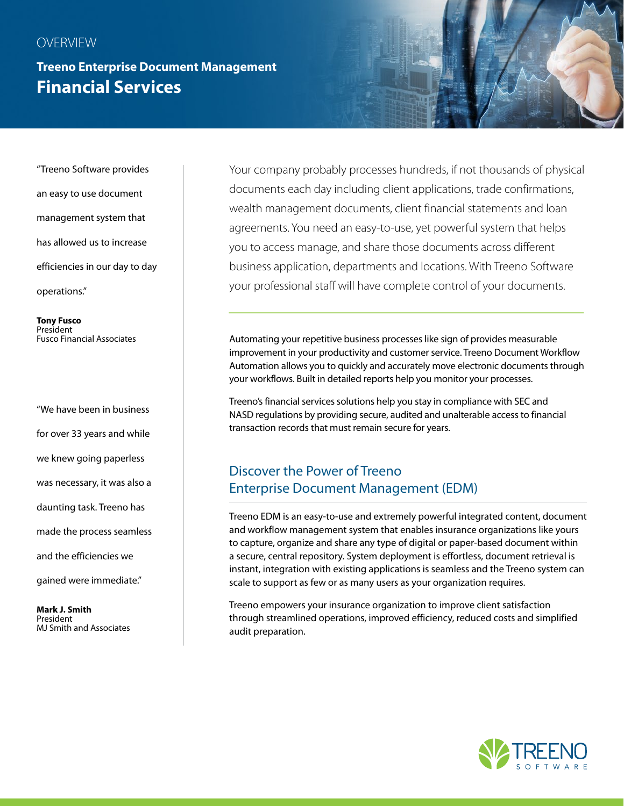#### **OVERVIEW**

# **Treeno Enterprise Document Management Financial Services**

"Treeno Software provides an easy to use document management system that has allowed us to increase efficiencies in our day to day operations."

**Tony Fusco**  President Fusco Financial Associates

"We have been in business for over 33 years and while we knew going paperless was necessary, it was also a daunting task. Treeno has made the process seamless and the efficiencies we gained were immediate."

**Mark J. Smith**  President MJ Smith and Associates

Your company probably processes hundreds, if not thousands of physical documents each day including client applications, trade confirmations, wealth management documents, client financial statements and loan agreements. You need an easy-to-use, yet powerful system that helps you to access manage, and share those documents across different business application, departments and locations. With Treeno Software your professional staff will have complete control of your documents.

Automating your repetitive business processes like sign of provides measurable improvement in your productivity and customer service. Treeno Document Workflow Automation allows you to quickly and accurately move electronic documents through your workflows. Built in detailed reports help you monitor your processes.

Treeno's financial services solutions help you stay in compliance with SEC and NASD regulations by providing secure, audited and unalterable access to financial transaction records that must remain secure for years.

### Discover the Power of Treeno Enterprise Document Management (EDM)

Treeno EDM is an easy-to-use and extremely powerful integrated content, document and workflow management system that enables insurance organizations like yours to capture, organize and share any type of digital or paper-based document within a secure, central repository. System deployment is effortless, document retrieval is instant, integration with existing applications is seamless and the Treeno system can scale to support as few or as many users as your organization requires.

Treeno empowers your insurance organization to improve client satisfaction through streamlined operations, improved efficiency, reduced costs and simplified audit preparation.